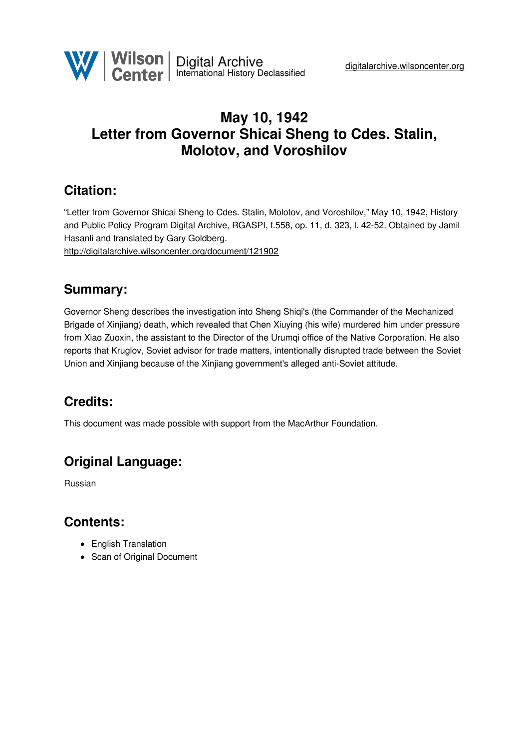# **May 10, 1942 Letter from Governor Shicai Sheng to Cdes. Stalin, Molotov, and Voroshilov**

### **Citation:**

"Letter from Governor Shicai Sheng to Cdes. Stalin, Molotov, and Voroshilov," May 10, 1942, History and Public Policy Program Digital Archive, RGASPI, f.558, op. 11, d. 323, l. 42-52. Obtained by Jamil Hasanli and translated by Gary Goldberg. <http://digitalarchive.wilsoncenter.org/document/121902>

#### **Summary:**

Governor Sheng describes the investigation into Sheng Shiqi's (the Commander of the Mechanized Brigade of Xinjiang) death, which revealed that Chen Xiuying (his wife) murdered him under pressure from Xiao Zuoxin, the assistant to the Director of the Urumqi office of the Native Corporation. He also reports that Kruglov, Soviet advisor for trade matters, intentionally disrupted trade between the Soviet Union and Xinjiang because of the Xinjiang government's alleged anti-Soviet attitude.

# **Credits:**

This document was made possible with support from the MacArthur Foundation.

# **Original Language:**

Russian

#### **Contents:**

- English Translation
- Scan of Original Document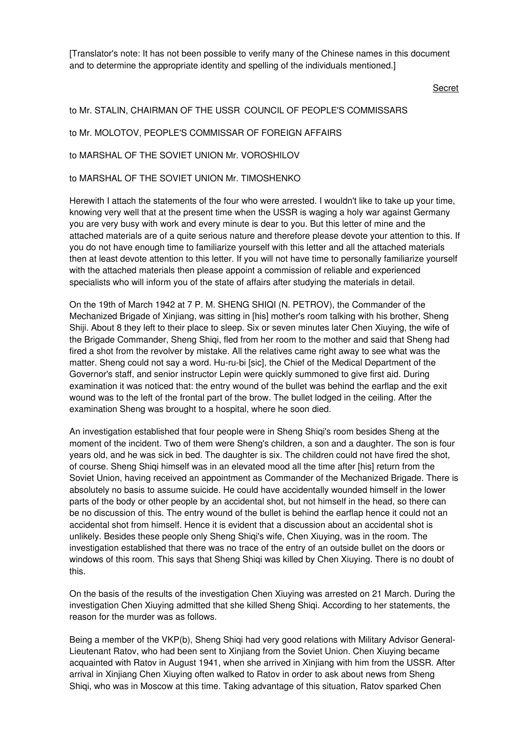[Translator's note: It has not been possible to verify many of the Chinese names in this document and to determine the appropriate identity and spelling of the individuals mentioned.]

Secret

#### to Mr. STALIN, CHAIRMAN OF THE USSR COUNCIL OF PEOPLE'S COMMISSARS

to Mr. MOLOTOV, PEOPLE'S COMMISSAR OF FOREIGN AFFAIRS

to MARSHAL OF THE SOVIET UNION Mr. VOROSHILOV

to MARSHAL OF THE SOVIET UNION Mr. TIMOSHENKO

Herewith I attach the statements of the four who were arrested. I wouldn't like to take up your time, knowing very well that at the present time when the USSR is waging a holy war against Germany you are very busy with work and every minute is dear to you. But this letter of mine and the attached materials are of a quite serious nature and therefore please devote your attention to this. If you do not have enough time to familiarize yourself with this letter and all the attached materials then at least devote attention to this letter. If you will not have time to personally familiarize yourself with the attached materials then please appoint a commission of reliable and experienced specialists who will inform you of the state of affairs after studying the materials in detail.

On the 19th of March 1942 at 7 P. M. SHENG SHIQI (N. PETROV), the Commander of the Mechanized Brigade of Xinjiang, was sitting in [his] mother's room talking with his brother, Sheng Shiji. About 8 they left to their place to sleep. Six or seven minutes later Chen Xiuying, the wife of the Brigade Commander, Sheng Shiqi, fled from her room to the mother and said that Sheng had fired a shot from the revolver by mistake. All the relatives came right away to see what was the matter. Sheng could not say a word. Hu-ru-bi [sic], the Chief of the Medical Department of the Governor's staff, and senior instructor Lepin were quickly summoned to give first aid. During examination it was noticed that: the entry wound of the bullet was behind the earflap and the exit wound was to the left of the frontal part of the brow. The bullet lodged in the ceiling. After the examination Sheng was brought to a hospital, where he soon died.

An investigation established that four people were in Sheng Shiqi's room besides Sheng at the moment of the incident. Two of them were Sheng's children, a son and a daughter. The son is four years old, and he was sick in bed. The daughter is six. The children could not have fired the shot, of course. Sheng Shiqi himself was in an elevated mood all the time after [his] return from the Soviet Union, having received an appointment as Commander of the Mechanized Brigade. There is absolutely no basis to assume suicide. He could have accidentally wounded himself in the lower parts of the body or other people by an accidental shot, but not himself in the head, so there can be no discussion of this. The entry wound of the bullet is behind the earflap hence it could not an accidental shot from himself. Hence it is evident that a discussion about an accidental shot is unlikely. Besides these people only Sheng Shiqi's wife, Chen Xiuying, was in the room. The investigation established that there was no trace of the entry of an outside bullet on the doors or windows of this room. This says that Sheng Shiqi was killed by Chen Xiuying. There is no doubt of this.

On the basis of the results of the investigation Chen Xiuying was arrested on 21 March. During the investigation Chen Xiuying admitted that she killed Sheng Shiqi. According to her statements, the reason for the murder was as follows.

Being a member of the VKP(b), Sheng Shiqi had very good relations with Military Advisor General-Lieutenant Ratov, who had been sent to Xinjiang from the Soviet Union. Chen Xiuying became acquainted with Ratov in August 1941, when she arrived in Xinjiang with him from the USSR. After arrival in Xinjiang Chen Xiuying often walked to Ratov in order to ask about news from Sheng Shiqi, who was in Moscow at this time. Taking advantage of this situation, Ratov sparked Chen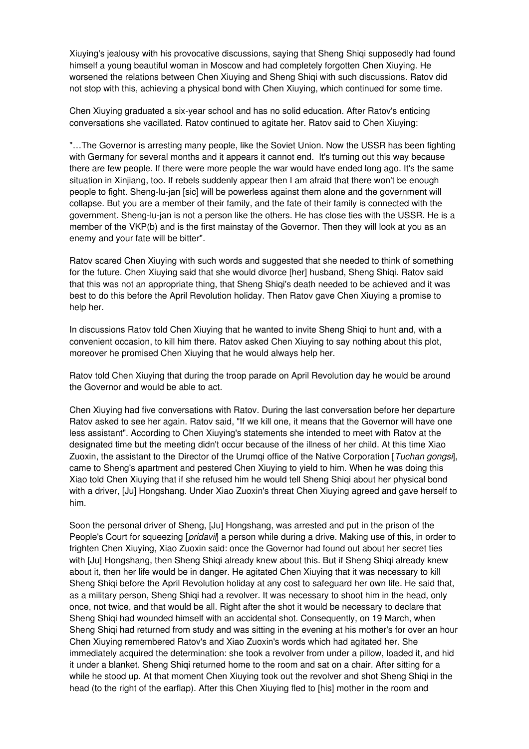Xiuying's jealousy with his provocative discussions, saying that Sheng Shiqi supposedly had found himself a young beautiful woman in Moscow and had completely forgotten Chen Xiuying. He worsened the relations between Chen Xiuying and Sheng Shiqi with such discussions. Ratov did not stop with this, achieving a physical bond with Chen Xiuying, which continued for some time.

Chen Xiuying graduated a six-year school and has no solid education. After Ratov's enticing conversations she vacillated. Ratov continued to agitate her. Ratov said to Chen Xiuying:

"…The Governor is arresting many people, like the Soviet Union. Now the USSR has been fighting with Germany for several months and it appears it cannot end. It's turning out this way because there are few people. If there were more people the war would have ended long ago. It's the same situation in Xinjiang, too. If rebels suddenly appear then I am afraid that there won't be enough people to fight. Sheng-lu-jan [sic] will be powerless against them alone and the government will collapse. But you are a member of their family, and the fate of their family is connected with the government. Sheng-lu-jan is not a person like the others. He has close ties with the USSR. He is a member of the VKP(b) and is the first mainstay of the Governor. Then they will look at you as an enemy and your fate will be bitter".

Ratov scared Chen Xiuying with such words and suggested that she needed to think of something for the future. Chen Xiuying said that she would divorce [her] husband, Sheng Shiqi. Ratov said that this was not an appropriate thing, that Sheng Shiqi's death needed to be achieved and it was best to do this before the April Revolution holiday. Then Ratov gave Chen Xiuying a promise to help her.

In discussions Ratov told Chen Xiuying that he wanted to invite Sheng Shiqi to hunt and, with a convenient occasion, to kill him there. Ratov asked Chen Xiuying to say nothing about this plot, moreover he promised Chen Xiuying that he would always help her.

Ratov told Chen Xiuying that during the troop parade on April Revolution day he would be around the Governor and would be able to act.

Chen Xiuying had five conversations with Ratov. During the last conversation before her departure Ratov asked to see her again. Ratov said, "If we kill one, it means that the Governor will have one less assistant". According to Chen Xiuying's statements she intended to meet with Ratov at the designated time but the meeting didn't occur because of the illness of her child. At this time Xiao Zuoxin, the assistant to the Director of the Urumqi office of the Native Corporation [*Tuchan gongsi*], came to Sheng's apartment and pestered Chen Xiuying to yield to him. When he was doing this Xiao told Chen Xiuying that if she refused him he would tell Sheng Shiqi about her physical bond with a driver, [Ju] Hongshang. Under Xiao Zuoxin's threat Chen Xiuying agreed and gave herself to him.

Soon the personal driver of Sheng, [Ju] Hongshang, was arrested and put in the prison of the People's Court for squeezing [*pridavil*] a person while during a drive. Making use of this, in order to frighten Chen Xiuying, Xiao Zuoxin said: once the Governor had found out about her secret ties with [Ju] Hongshang, then Sheng Shiqi already knew about this. But if Sheng Shiqi already knew about it, then her life would be in danger. He agitated Chen Xiuying that it was necessary to kill Sheng Shiqi before the April Revolution holiday at any cost to safeguard her own life. He said that, as a military person, Sheng Shiqi had a revolver. It was necessary to shoot him in the head, only once, not twice, and that would be all. Right after the shot it would be necessary to declare that Sheng Shiqi had wounded himself with an accidental shot. Consequently, on 19 March, when Sheng Shiqi had returned from study and was sitting in the evening at his mother's for over an hour Chen Xiuying remembered Ratov's and Xiao Zuoxin's words which had agitated her. She immediately acquired the determination: she took a revolver from under a pillow, loaded it, and hid it under a blanket. Sheng Shiqi returned home to the room and sat on a chair. After sitting for a while he stood up. At that moment Chen Xiuying took out the revolver and shot Sheng Shiqi in the head (to the right of the earflap). After this Chen Xiuying fled to [his] mother in the room and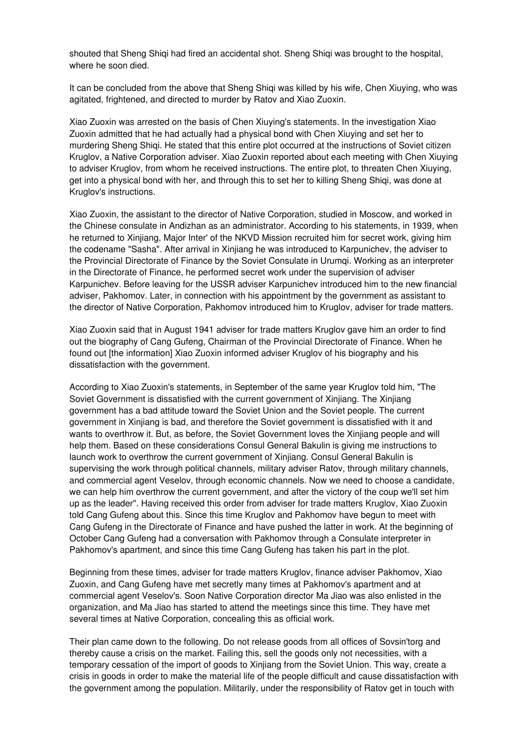shouted that Sheng Shiqi had fired an accidental shot. Sheng Shiqi was brought to the hospital, where he soon died.

It can be concluded from the above that Sheng Shiqi was killed by his wife, Chen Xiuying, who was agitated, frightened, and directed to murder by Ratov and Xiao Zuoxin.

Xiao Zuoxin was arrested on the basis of Chen Xiuying's statements. In the investigation Xiao Zuoxin admitted that he had actually had a physical bond with Chen Xiuying and set her to murdering Sheng Shiqi. He stated that this entire plot occurred at the instructions of Soviet citizen Kruglov, a Native Corporation adviser. Xiao Zuoxin reported about each meeting with Chen Xiuying to adviser Kruglov, from whom he received instructions. The entire plot, to threaten Chen Xiuying, get into a physical bond with her, and through this to set her to killing Sheng Shiqi, was done at Kruglov's instructions.

Xiao Zuoxin, the assistant to the director of Native Corporation, studied in Moscow, and worked in the Chinese consulate in Andizhan as an administrator. According to his statements, in 1939, when he returned to Xinjiang, Major Inter' of the NKVD Mission recruited him for secret work, giving him the codename "Sasha". After arrival in Xinjiang he was introduced to Karpunichev, the adviser to the Provincial Directorate of Finance by the Soviet Consulate in Urumqi. Working as an interpreter in the Directorate of Finance, he performed secret work under the supervision of adviser Karpunichev. Before leaving for the USSR adviser Karpunichev introduced him to the new financial adviser, Pakhomov. Later, in connection with his appointment by the government as assistant to the director of Native Corporation, Pakhomov introduced him to Kruglov, adviser for trade matters.

Xiao Zuoxin said that in August 1941 adviser for trade matters Kruglov gave him an order to find out the biography of Cang Gufeng, Chairman of the Provincial Directorate of Finance. When he found out [the information] Xiao Zuoxin informed adviser Kruglov of his biography and his dissatisfaction with the government.

According to Xiao Zuoxin's statements, in September of the same year Kruglov told him, "The Soviet Government is dissatisfied with the current government of Xinjiang. The Xinjiang government has a bad attitude toward the Soviet Union and the Soviet people. The current government in Xinjiang is bad, and therefore the Soviet government is dissatisfied with it and wants to overthrow it. But, as before, the Soviet Government loves the Xinjiang people and will help them. Based on these considerations Consul General Bakulin is giving me instructions to launch work to overthrow the current government of Xinjiang. Consul General Bakulin is supervising the work through political channels, military adviser Ratov, through military channels, and commercial agent Veselov, through economic channels. Now we need to choose a candidate, we can help him overthrow the current government, and after the victory of the coup we'll set him up as the leader". Having received this order from adviser for trade matters Kruglov, Xiao Zuoxin told Cang Gufeng about this. Since this time Kruglov and Pakhomov have begun to meet with Cang Gufeng in the Directorate of Finance and have pushed the latter in work. At the beginning of October Cang Gufeng had a conversation with Pakhomov through a Consulate interpreter in Pakhomov's apartment, and since this time Cang Gufeng has taken his part in the plot.

Beginning from these times, adviser for trade matters Kruglov, finance adviser Pakhomov, Xiao Zuoxin, and Cang Gufeng have met secretly many times at Pakhomov's apartment and at commercial agent Veselov's. Soon Native Corporation director Ma Jiao was also enlisted in the organization, and Ma Jiao has started to attend the meetings since this time. They have met several times at Native Corporation, concealing this as official work.

Their plan came down to the following. Do not release goods from all offices of Sovsin'torg and thereby cause a crisis on the market. Failing this, sell the goods only not necessities, with a temporary cessation of the import of goods to Xinjiang from the Soviet Union. This way, create a crisis in goods in order to make the material life of the people difficult and cause dissatisfaction with the government among the population. Militarily, under the responsibility of Ratov get in touch with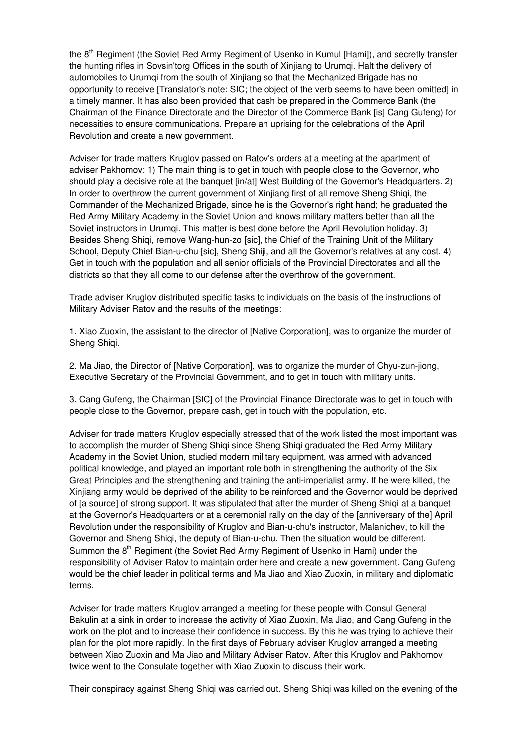the 8<sup>th</sup> Regiment (the Soviet Red Army Regiment of Usenko in Kumul [Hami]), and secretly transfer the hunting rifles in Sovsin'torg Offices in the south of Xinjiang to Urumqi. Halt the delivery of automobiles to Urumqi from the south of Xinjiang so that the Mechanized Brigade has no opportunity to receive [Translator's note: SIC; the object of the verb seems to have been omitted] in a timely manner. It has also been provided that cash be prepared in the Commerce Bank (the Chairman of the Finance Directorate and the Director of the Commerce Bank [is] Cang Gufeng) for necessities to ensure communications. Prepare an uprising for the celebrations of the April Revolution and create a new government.

Adviser for trade matters Kruglov passed on Ratov's orders at a meeting at the apartment of adviser Pakhomov: 1) The main thing is to get in touch with people close to the Governor, who should play a decisive role at the banquet [in/at] West Building of the Governor's Headquarters. 2) In order to overthrow the current government of Xinjiang first of all remove Sheng Shiqi, the Commander of the Mechanized Brigade, since he is the Governor's right hand; he graduated the Red Army Military Academy in the Soviet Union and knows military matters better than all the Soviet instructors in Urumqi. This matter is best done before the April Revolution holiday. 3) Besides Sheng Shiqi, remove Wang-hun-zo [sic], the Chief of the Training Unit of the Military School, Deputy Chief Bian-u-chu [sic], Sheng Shiji, and all the Governor's relatives at any cost. 4) Get in touch with the population and all senior officials of the Provincial Directorates and all the districts so that they all come to our defense after the overthrow of the government.

Trade adviser Kruglov distributed specific tasks to individuals on the basis of the instructions of Military Adviser Ratov and the results of the meetings:

1. Xiao Zuoxin, the assistant to the director of [Native Corporation], was to organize the murder of Sheng Shiqi.

2. Ma Jiao, the Director of [Native Corporation], was to organize the murder of Chyu-zun-jiong, Executive Secretary of the Provincial Government, and to get in touch with military units.

3. Cang Gufeng, the Chairman [SIC] of the Provincial Finance Directorate was to get in touch with people close to the Governor, prepare cash, get in touch with the population, etc.

Adviser for trade matters Kruglov especially stressed that of the work listed the most important was to accomplish the murder of Sheng Shiqi since Sheng Shiqi graduated the Red Army Military Academy in the Soviet Union, studied modern military equipment, was armed with advanced political knowledge, and played an important role both in strengthening the authority of the Six Great Principles and the strengthening and training the anti-imperialist army. If he were killed, the Xinjiang army would be deprived of the ability to be reinforced and the Governor would be deprived of [a source] of strong support. It was stipulated that after the murder of Sheng Shiqi at a banquet at the Governor's Headquarters or at a ceremonial rally on the day of the [anniversary of the] April Revolution under the responsibility of Kruglov and Bian-u-chu's instructor, Malanichev, to kill the Governor and Sheng Shiqi, the deputy of Bian-u-chu. Then the situation would be different. Summon the 8<sup>th</sup> Regiment (the Soviet Red Army Regiment of Usenko in Hami) under the responsibility of Adviser Ratov to maintain order here and create a new government. Cang Gufeng would be the chief leader in political terms and Ma Jiao and Xiao Zuoxin, in military and diplomatic terms.

Adviser for trade matters Kruglov arranged a meeting for these people with Consul General Bakulin at a sink in order to increase the activity of Xiao Zuoxin, Ma Jiao, and Cang Gufeng in the work on the plot and to increase their confidence in success. By this he was trying to achieve their plan for the plot more rapidly. In the first days of February adviser Kruglov arranged a meeting between Xiao Zuoxin and Ma Jiao and Military Adviser Ratov. After this Kruglov and Pakhomov twice went to the Consulate together with Xiao Zuoxin to discuss their work.

Their conspiracy against Sheng Shiqi was carried out. Sheng Shiqi was killed on the evening of the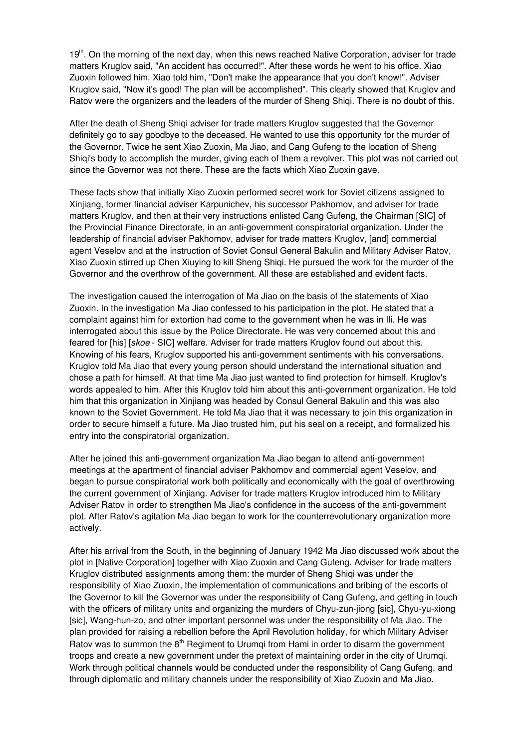19<sup>th</sup>. On the morning of the next day, when this news reached Native Corporation, adviser for trade matters Kruglov said, "An accident has occurred!". After these words he went to his office. Xiao Zuoxin followed him. Xiao told him, "Don't make the appearance that you don't know!". Adviser Kruglov said, "Now it's good! The plan will be accomplished". This clearly showed that Kruglov and Ratov were the organizers and the leaders of the murder of Sheng Shiqi. There is no doubt of this.

After the death of Sheng Shiqi adviser for trade matters Kruglov suggested that the Governor definitely go to say goodbye to the deceased. He wanted to use this opportunity for the murder of the Governor. Twice he sent Xiao Zuoxin, Ma Jiao, and Cang Gufeng to the location of Sheng Shiqi's body to accomplish the murder, giving each of them a revolver. This plot was not carried out since the Governor was not there. These are the facts which Xiao Zuoxin gave.

These facts show that initially Xiao Zuoxin performed secret work for Soviet citizens assigned to Xinjiang, former financial adviser Karpunichev, his successor Pakhomov, and adviser for trade matters Kruglov, and then at their very instructions enlisted Cang Gufeng, the Chairman [SIC] of the Provincial Finance Directorate, in an anti-government conspiratorial organization. Under the leadership of financial adviser Pakhomov, adviser for trade matters Kruglov, [and] commercial agent Veselov and at the instruction of Soviet Consul General Bakulin and Military Adviser Ratov, Xiao Zuoxin stirred up Chen Xiuying to kill Sheng Shiqi. He pursued the work for the murder of the Governor and the overthrow of the government. All these are established and evident facts.

The investigation caused the interrogation of Ma Jiao on the basis of the statements of Xiao Zuoxin. In the investigation Ma Jiao confessed to his participation in the plot. He stated that a complaint against him for extortion had come to the government when he was in Ili. He was interrogated about this issue by the Police Directorate. He was very concerned about this and feared for [his] [*skoe* - SIC] welfare. Adviser for trade matters Kruglov found out about this. Knowing of his fears, Kruglov supported his anti-government sentiments with his conversations. Kruglov told Ma Jiao that every young person should understand the international situation and chose a path for himself. At that time Ma Jiao just wanted to find protection for himself. Kruglov's words appealed to him. After this Kruglov told him about this anti-government organization. He told him that this organization in Xinjiang was headed by Consul General Bakulin and this was also known to the Soviet Government. He told Ma Jiao that it was necessary to join this organization in order to secure himself a future. Ma Jiao trusted him, put his seal on a receipt, and formalized his entry into the conspiratorial organization.

After he joined this anti-government organization Ma Jiao began to attend anti-government meetings at the apartment of financial adviser Pakhomov and commercial agent Veselov, and began to pursue conspiratorial work both politically and economically with the goal of overthrowing the current government of Xinjiang. Adviser for trade matters Kruglov introduced him to Military Adviser Ratov in order to strengthen Ma Jiao's confidence in the success of the anti-government plot. After Ratov's agitation Ma Jiao began to work for the counterrevolutionary organization more actively.

After his arrival from the South, in the beginning of January 1942 Ma Jiao discussed work about the plot in [Native Corporation] together with Xiao Zuoxin and Cang Gufeng. Adviser for trade matters Kruglov distributed assignments among them: the murder of Sheng Shiqi was under the responsibility of Xiao Zuoxin, the implementation of communications and bribing of the escorts of the Governor to kill the Governor was under the responsibility of Cang Gufeng, and getting in touch with the officers of military units and organizing the murders of Chyu-zun-jiong [sic], Chyu-yu-xiong [sic], Wang-hun-zo, and other important personnel was under the responsibility of Ma Jiao. The plan provided for raising a rebellion before the April Revolution holiday, for which Military Adviser Ratov was to summon the 8<sup>th</sup> Regiment to Urumqi from Hami in order to disarm the government troops and create a new government under the pretext of maintaining order in the city of Urumqi. Work through political channels would be conducted under the responsibility of Cang Gufeng, and through diplomatic and military channels under the responsibility of Xiao Zuoxin and Ma Jiao.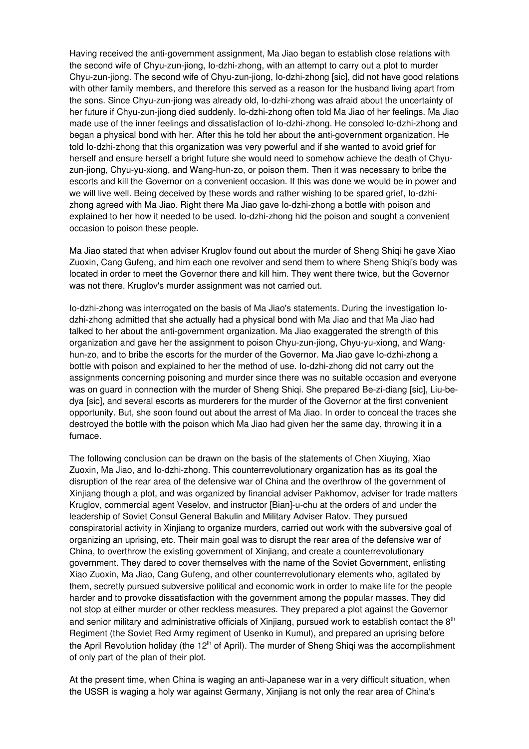Having received the anti-government assignment, Ma Jiao began to establish close relations with the second wife of Chyu-zun-jiong, Io-dzhi-zhong, with an attempt to carry out a plot to murder Chyu-zun-jiong. The second wife of Chyu-zun-jiong, Io-dzhi-zhong [sic], did not have good relations with other family members, and therefore this served as a reason for the husband living apart from the sons. Since Chyu-zun-jiong was already old, Io-dzhi-zhong was afraid about the uncertainty of her future if Chyu-zun-jiong died suddenly. Io-dzhi-zhong often told Ma Jiao of her feelings. Ma Jiao made use of the inner feelings and dissatisfaction of Io-dzhi-zhong. He consoled Io-dzhi-zhong and began a physical bond with her. After this he told her about the anti-government organization. He told Io-dzhi-zhong that this organization was very powerful and if she wanted to avoid grief for herself and ensure herself a bright future she would need to somehow achieve the death of Chyuzun-jiong, Chyu-yu-xiong, and Wang-hun-zo, or poison them. Then it was necessary to bribe the escorts and kill the Governor on a convenient occasion. If this was done we would be in power and we will live well. Being deceived by these words and rather wishing to be spared grief, Io-dzhizhong agreed with Ma Jiao. Right there Ma Jiao gave Io-dzhi-zhong a bottle with poison and explained to her how it needed to be used. Io-dzhi-zhong hid the poison and sought a convenient occasion to poison these people.

Ma Jiao stated that when adviser Kruglov found out about the murder of Sheng Shiqi he gave Xiao Zuoxin, Cang Gufeng, and him each one revolver and send them to where Sheng Shiqi's body was located in order to meet the Governor there and kill him. They went there twice, but the Governor was not there. Kruglov's murder assignment was not carried out.

Io-dzhi-zhong was interrogated on the basis of Ma Jiao's statements. During the investigation Iodzhi-zhong admitted that she actually had a physical bond with Ma Jiao and that Ma Jiao had talked to her about the anti-government organization. Ma Jiao exaggerated the strength of this organization and gave her the assignment to poison Chyu-zun-jiong, Chyu-yu-xiong, and Wanghun-zo, and to bribe the escorts for the murder of the Governor. Ma Jiao gave Io-dzhi-zhong a bottle with poison and explained to her the method of use. Io-dzhi-zhong did not carry out the assignments concerning poisoning and murder since there was no suitable occasion and everyone was on guard in connection with the murder of Sheng Shiqi. She prepared Be-zi-diang [sic], Liu-bedya [sic], and several escorts as murderers for the murder of the Governor at the first convenient opportunity. But, she soon found out about the arrest of Ma Jiao. In order to conceal the traces she destroyed the bottle with the poison which Ma Jiao had given her the same day, throwing it in a furnace.

The following conclusion can be drawn on the basis of the statements of Chen Xiuying, Xiao Zuoxin, Ma Jiao, and Io-dzhi-zhong. This counterrevolutionary organization has as its goal the disruption of the rear area of the defensive war of China and the overthrow of the government of Xinjiang though a plot, and was organized by financial adviser Pakhomov, adviser for trade matters Kruglov, commercial agent Veselov, and instructor [Bian]-u-chu at the orders of and under the leadership of Soviet Consul General Bakulin and Military Adviser Ratov. They pursued conspiratorial activity in Xinjiang to organize murders, carried out work with the subversive goal of organizing an uprising, etc. Their main goal was to disrupt the rear area of the defensive war of China, to overthrow the existing government of Xinjiang, and create a counterrevolutionary government. They dared to cover themselves with the name of the Soviet Government, enlisting Xiao Zuoxin, Ma Jiao, Cang Gufeng, and other counterrevolutionary elements who, agitated by them, secretly pursued subversive political and economic work in order to make life for the people harder and to provoke dissatisfaction with the government among the popular masses. They did not stop at either murder or other reckless measures. They prepared a plot against the Governor and senior military and administrative officials of Xinjiang, pursued work to establish contact the  $8<sup>th</sup>$ Regiment (the Soviet Red Army regiment of Usenko in Kumul), and prepared an uprising before the April Revolution holiday (the 12<sup>th</sup> of April). The murder of Sheng Shiqi was the accomplishment of only part of the plan of their plot.

At the present time, when China is waging an anti-Japanese war in a very difficult situation, when the USSR is waging a holy war against Germany, Xinjiang is not only the rear area of China's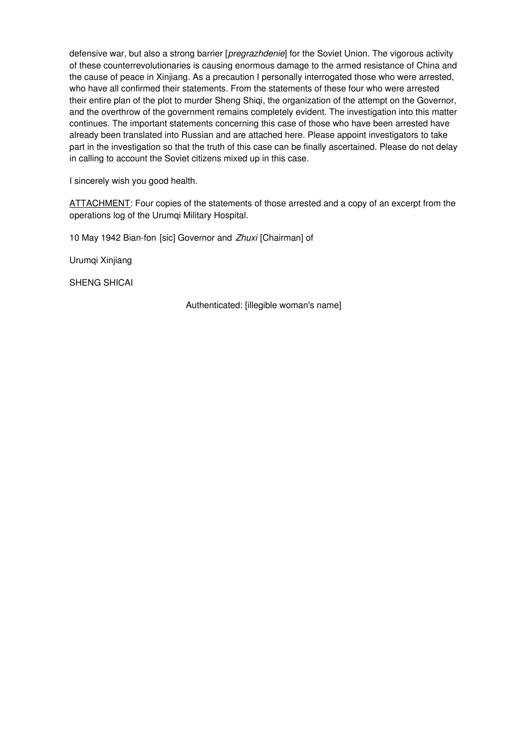defensive war, but also a strong barrier [*pregrazhdenie*] for the Soviet Union. The vigorous activity of these counterrevolutionaries is causing enormous damage to the armed resistance of China and the cause of peace in Xinjiang. As a precaution I personally interrogated those who were arrested, who have all confirmed their statements. From the statements of these four who were arrested their entire plan of the plot to murder Sheng Shiqi, the organization of the attempt on the Governor, and the overthrow of the government remains completely evident. The investigation into this matter continues. The important statements concerning this case of those who have been arrested have already been translated into Russian and are attached here. Please appoint investigators to take part in the investigation so that the truth of this case can be finally ascertained. Please do not delay in calling to account the Soviet citizens mixed up in this case.

I sincerely wish you good health.

ATTACHMENT: Four copies of the statements of those arrested and a copy of an excerpt from the operations log of the Urumqi Military Hospital.

10 May 1942 Bian-fon [sic] Governor and *Zhuxi* [Chairman] of

Urumqi Xinjiang

SHENG SHICAI

Authenticated: [illegible woman's name]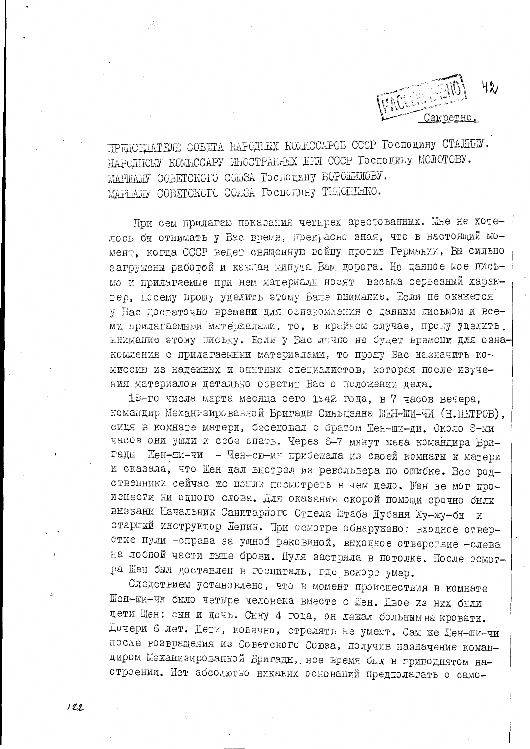Секретно

ПРЕДСЕДАТЕЛЮ СОБЕТА НАРОДНЫХ КОМИССАРОВ СССР Господину СТАЛИНУ. НАРОДНОМУ КОМИССАРУ ИНОСТРАННЫХ ДЕЛ СССР ГОСПОДИНУ МОЛОТОВУ. MAPIMAJIV COBETCKCIO COOSA Господину ВОРОШЛЮБУ. MAPHAJD COBETCKOFO COLSA Господину ТИМОНЕНКО.

При сем прилагаю показания четырех арестованных. Мне не хотелось бы отнимать у Вас время, прекрасно зная, что в настоящий момент, когда СССР ведет священную войну против Германии, Вы сильно загружены работой и каждая минута Вам дорога. Но данное мое письмо и прилагаемые при нем материалы носят весьма серьезный характер, посему прошу уделить этому Баше внимание. Если не окажется у Бас достаточно времени для ознакомления с данным письмом и всеми прилагаемыми материалами, то, в крайнем случае, прошу уделить. внимание этому письму. Если у Вас лично не будет времени для ознакомления с прилагаемыми материалами, то прошу Вас назначить комиссию из надежных и опытных специалистов, которая после изучения материалов детально осветит Вас о положении дела.

19-го числа марта месяца сего 1942 года, в 7 часов вечера, командир Механизированной Бригады Синьцзяна ШЕН-ШИ-ЧИ (Н. ПЕТРОВ), сидя в комнате матери, беседовал с братом Шен-ши-ди. Около 8-ми часов они ушли к себе спать. Через 6-7 минут жена командира Бригады Шен-ши-чи - Чен-сю-ин прибежала из своей комнаты к матери и сказала, что Шен дал выстрел из револьвера по ошибке. Все родственники сейчас же пошли посмотреть в чем дело. Шен не мог произнести ни одного слова. Для оказания скорой помощи срочно были вызваны Начальник Санитарного Отцела Штаба Дубаня Ху-жу-би и старший инструктор Лепин. При осмотре обнаружено: входное отверстие пули -справа за ушной раковиной, выходное отверствие -слева на лобной части выше брови. Пуля застряла в потолке. После осмотра Шен был доставлен в госпиталь, где вскоре умер.

Следствием установлено, что в момент происшествия в комнате Шен-ши-чи было четыре человека вместе с Шен. Двое из них были дети Шен: сын и дочь. Сыну 4 года, он лежал больным на кровати. Дочери 6 лет. Дети, конечно, стрелять не умеют. Сам же Шен-ши-чи после возвращения из Советского Союза, получив назначение командиром Механизированной Бригады, все время был в приподнятом настроении. Нет абсолютно никаких оснований предполагать о само-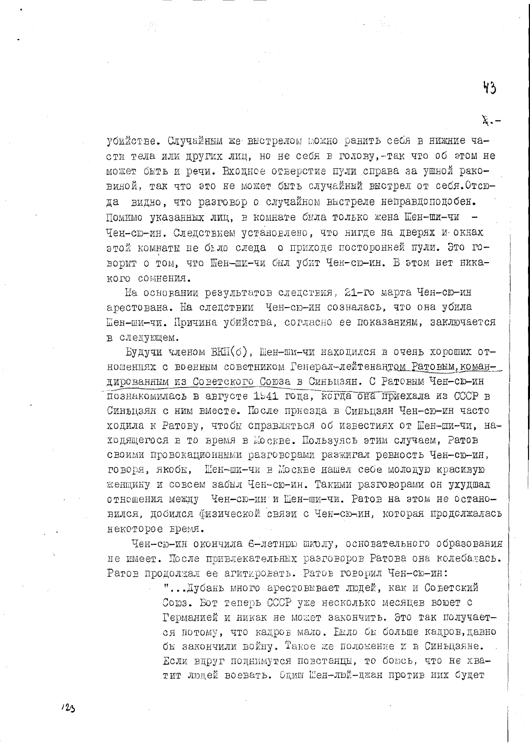убийстве. Случайным же выстрелом можно ранить себя в нижние части тела или других лиц, но не себя в голову, -так что об этом не может быть и речи. Входное отверстие пули справа за ушной раковиной, так что это не может быть случайный выстрел от себя. Отсюда видно. что разговор о случайном выстреле неправдоподобен. Помимо указанных лиц, в комнате была только жена Шен-ши-чи -Чен-сю-ин. Следствием установлено, что нигде на дверях и окнах этой комнаты не было следа о приходе посторонней пули. Это говорит о том, что Шен-ши-чи был убит Чен-сю-ин. В этом нет никакого сомнения.

На основании результатов следствия, 21-го марта Чен-сю-ин арестована. На следствии Чен-сю-ин созналась, что она убила Шен-ши-чи. Причина убийства, согласно ее показаниям, заключается в слепующем.

Будучи членом ВКП(б), Шен-ши-чи находился в очень хороших отношениях с военным советником Генерал-лейтенантом Ратовым, командированным из Советского Союза в Синьцзян. С Ратовым Чен-сю-ин познакомилась в августе 1941 года, когда она приехала из СССР в Синьцзян с ним вместе. После приезда в Синьцзян Чен-сю-ин часто ходила к Ратову, чтобы справляться об известиях от Шен-ши-чи, находящегося в то время в Москве. Пользуясь этим случаем, Ратов своими провокационными разговорами разжитал ревность Чен-сю-ин, говоря, якобы, Шен-ши-чи в Москве нашел себе молодую красивую жениину и совсем забыл Чен-сю-ин. Такими разговорами он ухудшал отношения между Чен-сю-ин и Шен-ши-чи. Ратов на этом не остановился, добился физической связи с Чен-сю-ин, которая продолжалась некоторое время.

Чен-сю-ин окончила 6-летнюю школу, основательного образования не имеет. После привлекательных разговоров Ратова она колебалась. Ратов продолжал ее агитировать. Ратов говорил Чен-сю-ин:

> "... Дубань много арестовывает людей, как и Советский Союз. Бот теперь СССР уже несколько месяцев воюет с Германией и никак не может закончить. Это так получается потому, что кадров мало. Еыло бы больше кадров, давно бы закончили войну. Такое же положение и в Синьцзяне. Если вдруг поднимутся повстанцы, то боюсь, что не хватит людей воевать. Одиш Шен-люй-джан против них будет

 $43$ 

 $\Sigma$ .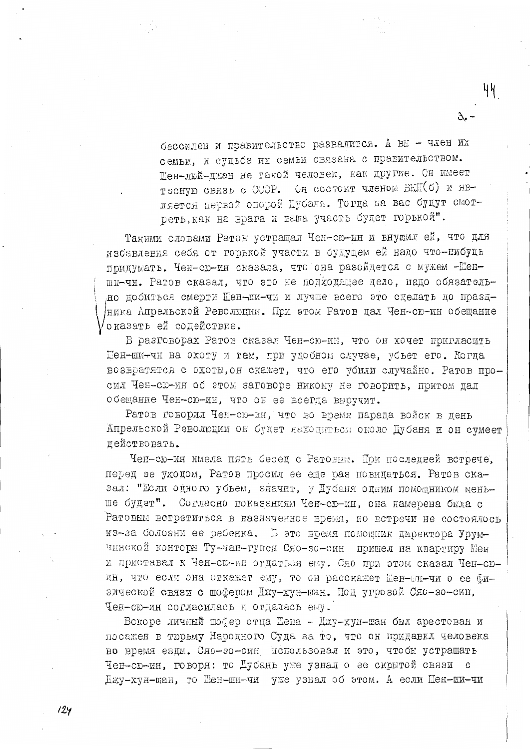бессилен и правительство развалится. А вы - член их семьи, и судьба их семьи связана с правительством. Шен-люй-джан не такой человек, как другие. Сн имеет тесную связь с СССР. Он состоит членом БКП(б) и является первой опорой Дубаня. Тогда на вас будут смотреть, как на врага и ваша участь будет горькой".

Такими словами Ратов устращал Чен-сю-ин и внушил ей, что для избавления себя от горькой участи в будущем ей надо что-нибудь придумать. Чен-сю-ин сказала, что она разойдется с мужем - Шенши-чи. Ратов сказал, что это не подходящее дело, надо обязательно добиться смерти Шен-ши-чи и лучше всего это сделать до праздника Апрельской Революции. При этом Ратов дал Чен-сю-ин обещание оказать ей содействие.

В разговорах Ратов сказал Чен-сю-ин, что он хочет пригласить Шен-ши-чи на охоту и там, при удобном случае, убъет его. Когда возвратятся с охоты, он скажет, что его убили случайно. Ратов просил Чен-сю-ин об этом заговоре никому не говорить, притом дал обещание Чен-сю-ин, что он ее всегда выручит.

Ратов говорил Чен-сю-ин, что во время парада войск в день Апрельской Революции он будет находиться около Дубаня и он сумеет пействовать.

Чен-сю-ин имела пять бесед с Ратовии. При последней встрече, перед ее уходом, Ратов просил ее еще раз повидаться. Ратов сказал: "Если одного убъем, значит, у Дубаня одним помощником меньше будет". Согласно показаниям Чен-сю-ин, она намерена была с Ратовым встретиться в назначенное время, но встречи не состоялось из-за болезни ее ребенка. В это время помощник директора Урумчинской конторы Ту-чан-гунсы Сяо-зо-син пришел на квартиру Шен и приставал к Чен-сю-ин отдаться ему. Сяо при этом сказал Чен-сюин, что если она откажет ему, то он расскажет Шен-ши-чи о ее физической связи с шофером Джу-хун-шан. Под угрозой Сяо-зо-син, Чен-сю-ин согласилась и отдалась ему.

Вскоре личный шоўер отца Шена - Джу-хун-шан был арестован и посажен в тюрьму Народного Суда за то, что он придавил человека во время езды. Сяо-зо-син использовал и это, чтобы устрашать Чен-сю-ин, говоря: то Дубань уже узнал о ее скрытой связи с Джу-хун-шан, то Шен-ши-чи уже узнал об этом. А если Шен-ши-чи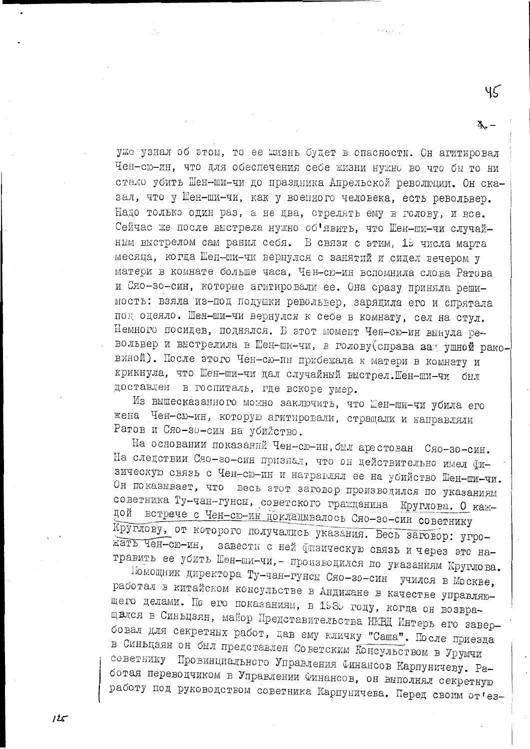уже узнал об этом, то ее жизнь будет в опасности. Он агитировал Чен-сю-ин, что для обеспечения себе жизни нужно во что бы то ни стало убить Шен-ши-чи до праздника Апрельской революции. Он сказал, что у Шен-ши-чи, как у военного человека, есть револьвер. Надо только один раз, а не цва, стрелять ему в голову, и все. Сейчас же после выстрела нужно об'явить, что Шен-ши-чи случайним выстрелом сам ранил себя. В связи с этим, 19 числа марта месяца, когда Шен-ши-чи вернулся с занятий и сидел вечером у матери в комнате больше часа, Чен-сю-ин вспомнила слова Ратова и Сяо-зо-син, которые агитировали ее. Она сразу приняла решимость: взяла из-под подушки револьвер, зарядила его и спрятала под оцеяло. Шен-ши-чи вернулся к себе в комнату, сел на стул. Немного посидев, поднялся. В этот момент Чен-сю-ин вынула револьвер и выстрелила в Шен-ши-чи, в голову (справа зал ушной раковиной). После этого Чен-сю-ин прибежала к матери в комнату и крикнула, что Шен-ши-чи дал случайный выстрел. Шен-ши-чи был доставлен в госпиталь, где вскоре умер.

ر<br>را جارو بره

Из вышесказанного можно заключить, что Шен-ши-чи убила его жена Чен-сю-ин, которую агитировали, стращали и направляли Ратов и Сяо-зо-син на убийство.

На основании показаний Чен-сю-ин, был арестован Сяо-зо-син. На следствии Сяо-зо-син признал, что он действительно имел физическую связь с Чен-сю-ин и натравлял ее на убийство Шен-ши-чи. Он показывает, что весь этот заговор производился по указаниям советника Ту-чан-гунсы, советского гражданина Круглова. О каждой встрече с Чен-сю-ин покладывалось Сяо-зо-син советнику Круглову, от которого получались указания. Весь заговор: угрожать Чен-сю-ин, завести с ней физическую связь и через это натравить ее убить Шен-ши-чи, - производился по указаниям Круглова.

Помощник директора Ту-чан-гунсы Сяо-зо-син учился в Москве, работал в китайском консульстве в Андижане в качестве управляющего делами. По его показаниям, в 1989 году, когда он возвращался в Синьцзян, майор Представительства НКВД Интерь его завербовал для секретных работ, дав ему кличку "Саша". После приезда в Синьцзян он был представлен Советским Консульством в Урумчи советнику Провинциального Управления Финансов Карпуничеву. Работая переводчиком в Управлении Финансов, он выполнял секретную работу под руководством советника Карпуничева. Перед своим от'ез-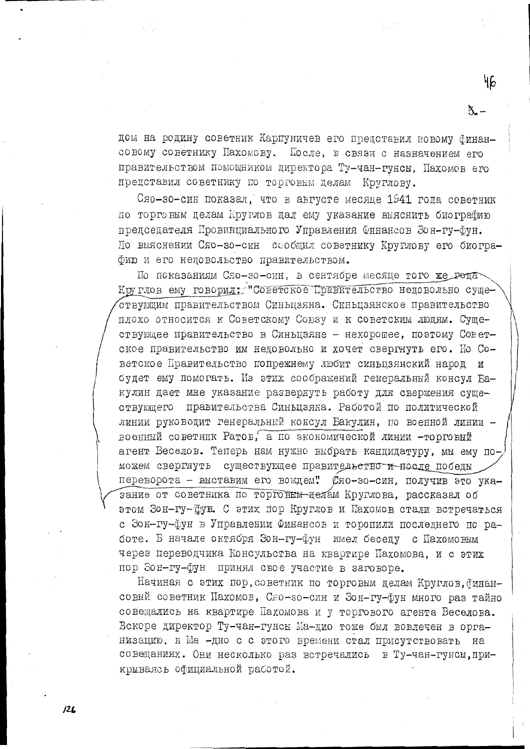дом на родину советник Карпуничев его представил новому бинансовому советнику Пахомову. После, в связи с назначением его правительством помощником директора Ту-чан-гунсы, Пахомов его представил советнику по торговым делам Круглову.

Сяо-зо-син показал, что в августе месяце 1941 года советник по торговым целам Круглов дал ему указание выяснить биографию председателя Провинциального Управления Финансов Зон-гу-Фун. По выяснении Сяо-зо-син сообщил советнику Круглову его биографию и его недовольство правительством.

По показаниям Сяо-зо-син, в сентябре месяце того же рода Круглов ему говорил: "Советское Правительство недовольно существующим правительством Синьцзяна. Синьцзянское правительство плохо относится к Советскому Союзу и к советским людям. Существующее правительство в Синьцзяне - нехорошее, поэтому Советское правительство им недовольно и хочет свергнуть его. Но Советское Правительство попрежнему любит синьцзянский народ и будет ему помогать. Из этих соображений генеральный консул Бакулин дает мне указание развернуть работу для свержения существующего правительства Синьцзяна. Работой по политической линии руководит генеральный консул Бакулин, по военной линии военный советник Ратов, а по экономической линии -торговый агент Веселов. Теперь нам нужно выбрать кандидатуру, мы ему поможем свергнуть существующее правительство и носле победы переворота - выставим его вождем" Сяо-зо-син, получив это указание от советника по торговым-делам Круглова, рассказал об этом Зон-гу-Фун. С этих пор Круглов и Пахомов стали встречаться с Зон-гу-фун в Управлении Финансов и торопили последнего по работе. В начале октября Зон-гу-фун имел беседу с Пахомовым через переводчика Консульства на квартире Пахомова, и с этих пор Зон-гу-фун принял свое участие в заговоре.

Начиная с этих пор, советник по торговым делам Круглов, финансовый советник Пахомов, Сяо-зо-син и Зон-гу-фун много раз тайно совещались на квартире Пахомова и у торгового агента Веселова. Вскоре директор Ту-чан-гунсы Ма-дио тоже был вовлечен в организацию, и Ма -дио с с этого времени стал присутствовать на совещаниях. Они несколько раз встречались в Ту-чан-гунсы, прикрываясь официальной работой.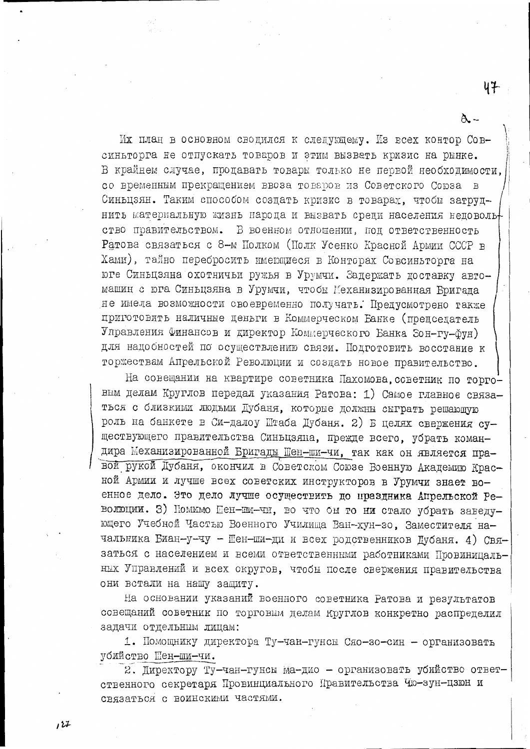Их план в основном сводился к следующему. Из всех контор Совсиньторга не отпускать товаров и этим вызвать кризис на рынке. В крайнем случае, продавать товары только не первой необходимости, со временным прекращением ввоза товаров из Советского Союза в Синьцзян. Таким способом создать кризис в товарах, чтобы затруднить материальную жизнь народа и вызвать среди населения недоволь ство правительством. В военном отношении, под ответственность Ратова связаться с 8-м Полком (Полк Усенко Красной Армии СССР в Хами), тайно перебросить имеющиеся в Конторах Совсиньторга на юге Синьцзяна охотничьи ружья в Урумчи. Задержать доставку автомашин с юга Синьцзяна в Урумчи, чтобы Механизированная Бригала не имела возможности своевременно получать. Предусмотрено также приготовить наличные деньги в Коммерческом Банке (председатель Управления Финансов и директор Коммерческого Банка Зон-гу-фун) для надобностей по осуществлению связи. Подготовить восстание к торжествам Апрельской Революции и создать новое правительство.

47

На совещании на квартире советника Пахомова, советник по торговым делам Круглов передал указания Ратова: 1) Самое главное связаться с близкими людьми Дубаня, которые должны сыграть решающую роль на банкете в Си-далоу Штаба Дубаня. 2) В целях свержения существующего правительства Синьцзяна, прежде всего, убрать командира Механизированной Бригады Шен-ши-чи, так как он является правой рукой Дубаня, окончил в Советском Союзе Военную Академию Красной Армии и лучше всех советских инструкторов в Урумчи знает военное дело. Это дело лучше осуществить до праздника Апрельской Революции. З) Номимо Шен-ши-чи, во что бы то ни стало убрать заведующего Учебной Частью Военного Училища Ван-хун-зо, Заместителя начальника Биан-у-чу - Шен-ши-ди и всех родственников Дубаня. 4) Связаться с населением и всеми ответственными работниками Провиницальных Управлений и всех округов, чтобы после свержения правительства они встали на нашу защиту.

На основании указаний военного советника Ратова и результатов совещаний советник по торговым делам Круглов конкретно распределил задачи отдельным лицам:

1. Помощнику директора Ту-чан-гунсы Сяо-зо-син - организовать убийство Шен-ши-чи.

2. Директору Ту-чан-гунсы Ма-дио - организовать убийство ответственного секретаря Провинциального Правительства Чю-зун-цзюн и связаться с воинскими частями.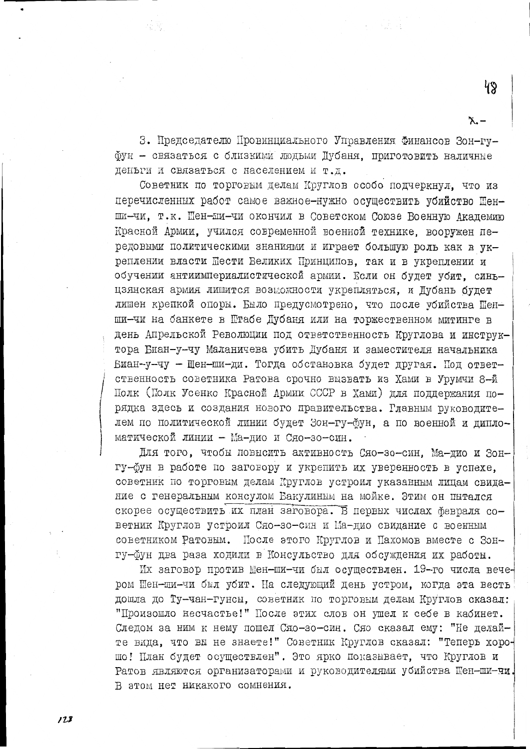З. Председателю Провинциального Управления Финансов Зон-гуфун - связаться с близкими людьми Дубаня. приготовить наличные деньги и связаться с населением и т.д.

Советник по торговым делам Круглов особо подчеркнул, что из перечисленных работ самое важное-нужно осуществить убийство Шенши-чи, т.к. Шен-ши-чи окончил в Советском Союзе Военную Академию Красной Армии, учился современной военной технике, вооружен передовыми политическими знаниями и играет большую роль как в укреплении власти Шести Великих Принципов. так и в укреплении и обучении антиимпериалистической армии. Если он будет убит, синьцзянская армия лишится возможности укрепляться, и Дубань будет лишен крепкой опоры. Было предусмотрено, что после убийства Шенши-чи на банкете в Штабе Дубаня или на торжественном митинге в день Апрельской Революции под ответственность Круглова и инструктора Биан-у-чу Маланичева убить Дубаня и заместителя начальника Биан-у-чу - Шен-ши-ди. Тогда обстановка будет другая. Под ответственность советника Ратова срочно вызвать из Хами в Урумчи 8-й Полк (Полк Усенко Красной Армии СССР в Хами) для поддержания порядка здесь и создания нового правительства. Главным руководителем по политической линии будет Зон-гу-фун, а по военной и дипломатической линии - Ма-дио и Сяо-зо-син.

Лля того, чтобы повысить активность Сяо-зо-син, Ма-дио и Зонгу-фун в работе по заговору и укрепить их уверенность в успехе, советник по торговым делам Круглов устроил указанным лицам свидание с генеральным консулом Бакулиным на мойке. Этим он пытался скорее осуществить их план заговора. В первых числах февраля советник Круглов устроил Сяо-зо-син и Ма-дио свидание с военным советником Ратовым. После этого Круглов и Пахомов вместе с Зонгу-фун два раза ходили в Консульство для обсуждения их работы.

Их заговор против Шен-ши-чи был осуществлен. 19-го числа вечером Шен-ши-чи был убит. На следующий день устром, когда эта весть дошла до Ту-чан-гунсы, советник по торговым делам Круглов сказал: "Произошло несчастье!" После этих слов он ушел к себе в кабинет. Следом за ним к нему пошел Сяо-зо-син. Сяо сказал ему: "Не делайте вида, что вы не знаете!" Советник Круглов сказал: "Теперь хорошо! План будет осуществлен". Это ярко показывает, что Круглов и Ратов являются организаторами и руководителями убийства Шен-ши-чи. В этом нет никакого сомнения.

48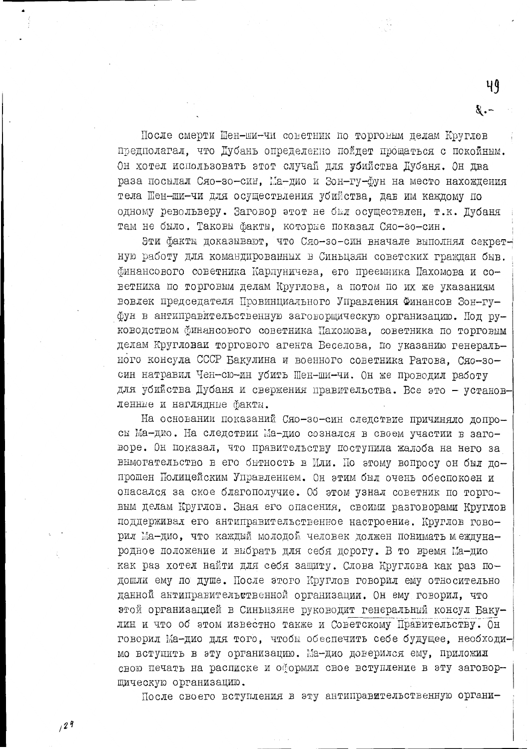После смерти Шен-ши-чи советник по торговым делам Круглов предполагал, что Дубань определенно пойдет прощаться с покойным. Он хотел использовать этот случай для убийства Дубаня. Он два раза посылал Сяо-зо-син. Ма-дио и Зон-гу-фун на место нахождения тела Шен-ши-чи для осуществления убийства, дав им каждому по одному револьверу. Заговор этот не был осуществлен. т.к. Дубаня там не было. Таковы факты, которые показал Сяо-зо-син.

Эти факты доказывают, что Сяо-зо-син вначале выполнял секретную работу для командированных в Синьцзян советских граждан быв. финансового советника Карпуничева, его преемника Пахомова и советника по торговым делам Круглова, а потом по их же указаниям вовлек председателя Провинциального Управления Финансов Зон-гуфун в антиправительственную заговорщическую организацию. Под руководством финансового советника Пахомова, советника по торговым делам Кругловаи торгового агента Веселова, по указанию генерального консула СССР Бакулина и военного советника Ратова. Сяо-зосин натравил Чен-сю-ин убить Шен-ши-чи. Он же проводил работу для убийства Дубаня и свержения правительства. Все это - установленные и наглядные факты.

На основании показаний Сяо-зо-син следствие причиняло допросы Ма-дио. На следствии Ма-дио сознался в своем участии в заговоре. Он показал, что правительству поступила жалоба на него за вымогательство в его бытность в Или. По этому вопросу он был допрошен Полицейским Управлением. Он этим был очень обеспокоен и опасался за ское благополучие. Об этом узнал советник по торговым делам Круглов. Зная его опасения, своими разговорами Круглов поддерживал его антиправительственное настроение. Круглов говорил Ма-дио, что каждый молодой человек должен понимать международное положение и выбрать для себя дорогу. В то время Ма-дио как раз хотел найти для себя защиту. Слова Круглова как раз подошли ему по душе. После этого Круглов говорил ему относительно данной антиправительственной организации. Он ему говорил, что этой организацией в Синьцзяне руководит генеральный консул Бакулин и что об этом известно также и Советскому Правительству. Он говорил Ма-дио для того, чтобы обеспечить себе будущее, необходимо вступить в эту организацию. Ма-дио доверился ему, приложил свою печать на расписке и оформил свое вступление в эту заговорщическую организацию.

После своего вступления в эту антиправительственную органи-

 $\delta$ .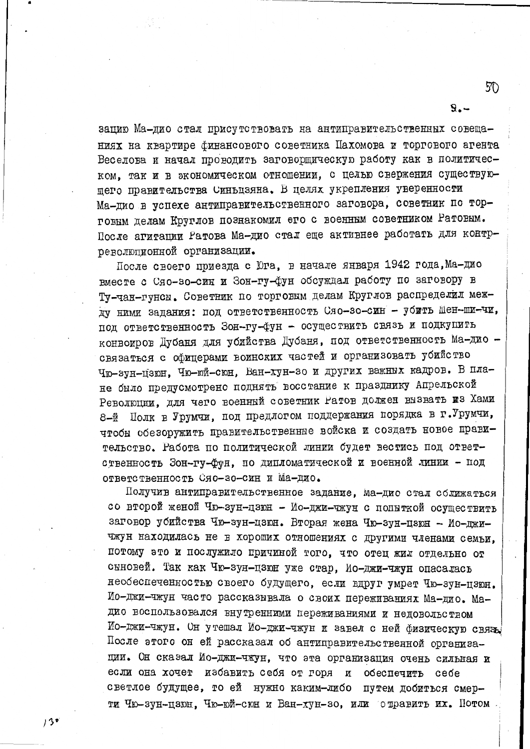зацию Ма-дио стал присутствовать на антиправительственных совещаниях на квартире финансового советника Пахомова и торгового агента Веселова и начал проводить заговорщическую работу как в политическом, так и в экономическом отношении, с целью свержения существующего правительства Синьцзяна. В целях укрепления уверенности Ма-дио в успехе антиправительственного заговора, советник по торговым делам Круглов познакомил его с военным советником Ратовым. После агитации Ратова Ма-дио стал еще активнее работать для контрреволюционной организации.

После своего приезда с Юга, в начале января 1942 года, Ма-дио вместе с Сяо-зо-син и Зон-гу-фун обсуждал работу по заговору в Ту-чан-гунсы. Советник по торговым делам Круглов распределил между ними задания: под ответственность Сяо-зо-син - убить Шен-ши-чи, под ответственность Зон-гу-фун - осуществить связь и подкупить конвоиров Дубаня для убийства Дубаня, под ответственность Ма-дио связаться с офицерами воинских частей и организовать убийство Чю-зун-цзюн, Чю-юй-сюн, Ван-хун-зо и других важных кадров. В плане было предусмотрено поднять восстание к празднику Апрельской Революции, для чего военный советник Ратов должен вызвать из Хами 8-й Полк в Урумчи, под предлогом поддержания порядка в г.Урумчи, чтобы обезоружить правительственные войска и создать новое правительство. Работа по политической линии будет вестись под ответственность Зон-гу-фун, по дипломатической и военной линии - под ответственность Сяо-зо-син и Ма-дио.

Получив антиправительственное задание, ма-дио стал солижаться со второй женой Чю-зун-цзюн - Ио-джи-чжун с попыткой осуществить заговор убийства Чю-зун-цзюн. Вторая жена Чю-зун-цзюн - Ио-джичжун находилась не в хороших отношениях с другими членами семьи, потому это и послужило причиной того, что отец жил отдельно от сыновей. Так как Чю-зун-цзюн уже стар, Ио-джи-чжун опасалась необеспеченностью своего будущего, если вдруг умрет Чю-зун-цзюн. Ио-джи-чжун часто рассказывала о своих переживаниях Ма-дио. Мадио воспользовался внутренними переживаниями и недовольством Ио-джи-чжун. Он утешал Ио-джи-чжун и завел с ней физическую связь. После этого он ей рассказал об антиправительственной организации. Он сказал Ио-джи-чжун, что эта организация очень сильная и если она хочет избавить себя от горя и обеспечить себе светлое будущее, то ей нужно каким-либо путем добиться смерти Чю-зун-цзюн, Чю-юй-сюн и Ван-хун-зо, или отравить их. Потом

50

 $\mathbf{S}$ <sub>-</sub>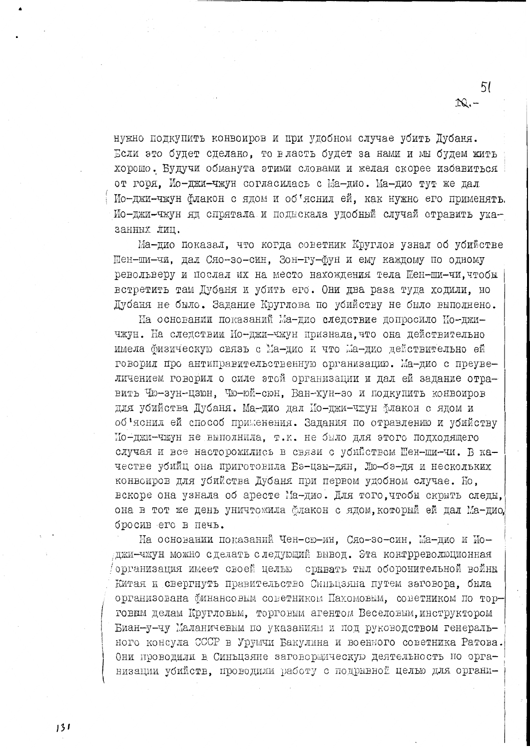нужно подкупить конвоиров и при удобном случае убить Дубаня. Если это будет сделано, то власть будет за нами и мы будем жить хорошо. Будучи обманута этими словами и желая скорее избавиться от горя. Ио-джи-чжун согласилась с Ма-дио. Ма-дио тут же дал Мо-джи-чжун флакон с ядом и об'яснил ей, как нужно его применять. Ио-джи-чжун яд спрятала и подыскала удобный случай отравить указанных лиц.

51

 $\infty$ .

Ма-дио показал, что когда советник Круглов узнал об убийстве Пен-ши-чи, дал Сяо-зо-син, Зон-гу-фун и ему каждому по одному револьверу и послал их на место нахождения тела Шен-ши-чи, чтобы встретить там Дубаня и убить его. Они два раза туда ходили, но Дубаня не было. Задание Круглова по убийству не было выполнено.

На основании показаний Ма-дио следствие допросило Мо-джичжун. На следствии Ио-джи-чжун признала, что она действительно имела физическую связь с Ма-дио и что Ма-дио действительно ей говорил про антиправительственную организацию. Ма-дио с преувеличением говорил о силе этой организации и дал ей задание отравить Чю-зун-цзюн, Чю-юй-сюн, Ван-хун-зо и подкупить конвоиров для убийства Дубаня. Ма-дио дал Ио-джи-чжун Флакон с ядом и об'яснил ей способ применения. Задания по отравлению и убийству Мо-джи-чжун не выполнила, т.к. не было для этого подходящего случая и все насторожились в связи с убийством Шен-ши-чи. В качестве убийц она приготовила Бэ-цзы-дян, Лю-бэ-дя и нескольких конвоиров для убийства Дубаня при первом удобном случае. Но, вскоре она узнала об аресте Ма-дио. Для того, чтобы скрыть следы, она в тот же день уничтожила флакон с ядом, который ей дал Ма-дио, бросив его в печь.

На основании показаний Чен-сю-ин, Сяо-зо-син, Ма-дио и Иоджи-чжун можно сделать следующий вывод. Эта контрреволюционная организация имеет своей целью срывать тыл оборонительной войны Китая и свергнуть правительство Синьцзяна путем заговора, была организована финансовым советником Пахомовым, советником по торговым делам Кругловым, торговым агентом Веселовым, инструктором Биан-у-чу Маланичевым по указаниям и под руководством генерального консула СССР в Урумчи Бакулина и военного советника Ратова. Они проводили в Синьцзяне заговорщическую деятельность по организации убийств, проводили работу с подрывной целью для органи-